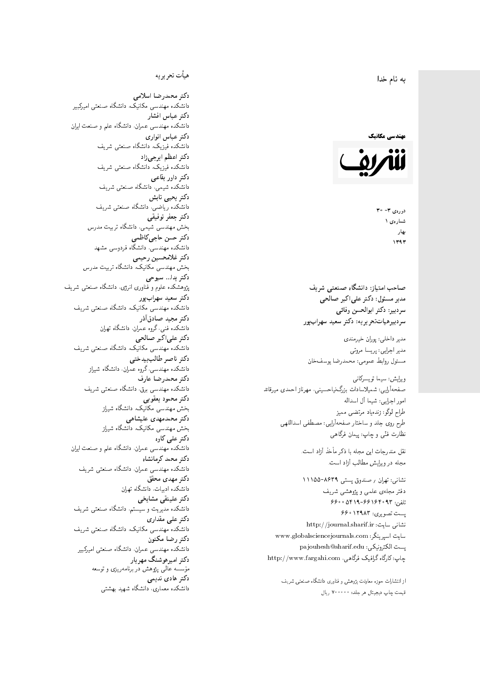#### $\overline{\phantom{a}}$ ز<br>ن به نام خدا .<br>.



دورەي ٣- ٣٥ شمارەي ۱ بهار  $1197$ 

صاحب امتیاز: دانشگاه صنعتی شریف  $\mathfrak{c}$ مدیر مسئول: دکتر علیاکبر صالحی  $\mathfrak{c}$ سردبير: دكتر ابوالحسن وفائي سردبیرهیاتتحر یر یه : دکتر سعید سهرابپور

مدير داخلى: پوران خيرمندى<br>. مدير اجرايي: پريسا مروتي<br>. مسئول روابط عمومی: محمدرضا يوسفخان<br>.

ويرايش: سيما تويسركان<sub>ى</sub><br>مىسى<sup>تى</sup>ل صفحهآرایی: شمیلاسادات بزرگ نیاحسینی، مهرناز احمدی میرقائد<br>ا امور اجرایی: شیما آل اسداله<br>سلسمه طراح لوگو: زندهیاد مرتضمی ممیز<br>ا طرح روى جلد و ساختار صفحه[رایی: مصطفى اسداللهی<br>بنالمستقد نظارت فنَّى و چاپ: پيمان فرگاهى<br>.

نقل مندرجات این مجله با ذکر مأخذ آزاد است.<br>مجله در ویرایش مطالب آزاد است.

نشانی: تهران / صندوق پستی ۸۶۳۹-۱۱۱۵۵ دفتر مجلهى علمى و پژوهشى شريف 7600 06196-96169 و 960 یست تصویری: ۱۲۹۸۳ ۶۶۰ نشانی سایت: http://journal.sharif.ir<br>م سايت اسپرينگر: www.globalsciencejournals.com<br>دادم ساخت pajouhesh@sharif.edu :يست الكترونيكي: چاپ: کارگاه گرافیک فرگاهی، http://www.fargahi.com

از انتشارات حوزه معاونت پژوهش و فناوری دانشگاه صنعتی شریف قيمت جاپ ديجيتال هر جلد: ۲۰۰۰۰۰ ريال

## هيأت تحريريه

دكتر محمدرضا اسلامى مکانیک، دانشگاه صنعتی امیرکبیر<br>. دكتر عباس افشار دانشکده مهندسی عمران، دانشگاه علم و صنعت ایران<br>بحمد مصلحات دكتر عباس انوارى دانشکده فیزیک، دانشگاه صنعتبی شریف<br>محمد استانسا دکتر اعظم ايرج<mark>ي</mark> زاد ، دانشگاه صنعتبی شریف<br>. دکتر داور بقاع**ی** دانشکده شیمی، دانشگاه صنعتی شریف<br>دکتر یحیی تابش دانشکده ریاضی، دانشگاه صنعتی شریف<br>برمسمنستانستان دكتر جعفر توفيقي بخش مهندسی شیمی، دانشگاه تربیت مدرس<br>سم دكتر حسن حاجىكاظمي دانشکده مهندسی، دانشگاه فردوسی مشهد<br>کستفلار م دكتر غلامحسين رحيمي هندسی مکانیک، دانشگاه تربیت مدرس<br>ا دکتر یدا... سبوحی پژوهشکده علوم و فناوری انرژی، دانشگاه صنعتبی شریف دکتر سعید سهرابپور<br>دانشکده مهندسی مکانیک، دانشگاه صنعتی شریف دکتر مجيد صادقاذر ا<br>. دانشکده فنی، گروه عمران، دانشگاه تهران دکتر علیاکبر صالحی = دانشکده مهندسی مکانیک، دانشگاه صنعتی شریف<br>یکستا دکتر ناصر طالب بیدختی r  $\mathfrak{c}$ دانشکده مهندسی، گروه عمران، دانشگاه شیراز<br>مکتب مصدر مقبل علم دكتر محمدرضا عارف دانشکده مهندسی برق، دانشگاه صنعتی شریف<br><mark>دکتر محمود یعقوبی</mark> هندسی مکانیک، دانشگاه شیراز<br>مسدوده مصلوفیاه دکتر محمدمهدی علیشاهی بخش مهندسی مکانیک، دانشگاه شیراز<br>مکتبهای کابی دکتر علی کاوہ دانشکده مهندسی عمران، دانشگاه علم و صنعت ایران<br>بحت دکتر محمد کرمانشاه .<br>. دانشکده مهندسی عمران، دانشگاه صنعتی شریف<br>مکتبر دولت مستق دکتر مهد*ی* محقق دانشکده ادبیات، دانشگاه تهران دکتر علینقی مشایخ<u>ی</u> دانشکده مدیریت و سیستم، دانشگاه صنعتبی شریف<br>محمد باست دکتر علی مقداری مکانیک، دانشگاه صنعتی شریف<br>. دكتر رضا مكنون دانشکده مهندسی عمران. دانشگاه صنعتی امیرکبیر<br>محمد است میگ دکتر امیرهوشنگ مهریار سه عالمی پژوهش در برنامهریزی و توسعه<br>۱۹ادم خار موسه<br>بر ءُ<br>ك دکتر هادی ندیمی  $\overline{a}$ المحلكة المحلمة التي تتوقف المحلمة التي تتوقف المحلمة التي تتوقف المحلمة التي تتوقف المحلمة التي تتوقف المحلمة<br>التي تتوقف المحلمة التي تتوقف المحلمة التي تتوقف المحلمة التي تتوقف المحلمة التي تتوقف المحلمة التي تتوقف المح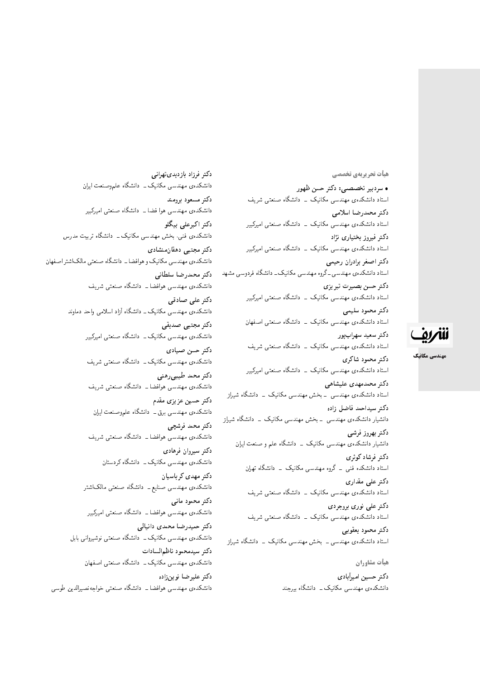هيأت تحريريهي تخصصي

• سردبیر تخصصی: دکتر حسن ظهور استاد دانشکدهی مهندسی مکانیک <mark>– دانشگاه صنعتی شریف</mark> دكتر محمدرضا اسلامى استاد دانشکدهی مهندسی مکانیک ۔ دانشگاه صنعتی امیرکبیر دکتر فیروز بختیاری نژاد استاد دانشکدهی مهندسی مکانیک <mark>– دانشگاه صنعتی امیرکبیر</mark> دكتر اصغر برادران رحيمي استاد دانشکدهی مهندسی ـ گروه مهندسی مکانیک ــ دانشگاه فردوسی مشهد دكتر حسن بصيرت تبريزي استاد دانشکدهی مهندسی مکانیک <mark>ـ دانشگاه صنعتی امیرکبیر</mark> دكتر محمود سليمي استاد دانشکدهی مهندسی مکانیک \_ دانشگاه صنعتی اصفهان دكتر سعيد سهرابپور استاد دانشکدهی مهندسی مکانیک \_ دانشگاه صنعتی شریف دكتر محمود شاكرى استاد دانشکدهی مهندسی مکانیک <mark>– دانشگاه صنعتی امیرکبیر</mark> دكتر محمدمهدى عليشاهي استاد دانشکدهی مهندسی <mark>ـ بخش مهندسی مکانیک ـ دانشگاه</mark> شی<sub>ل</sub>از دكتر سيداحمد فاضل زاده دانشیار دانشکدهی مهندسی <mark>ـ بخش مهندسی مکانیک ـ دانشگاه</mark> شیراز دكتر بهروز فرشي دانشیار دانشکدهی مهندسی مکانیک <mark>ب</mark> دانشگاه علم و صنعت ایران دکت<sub>ر</sub> فرشاد کوثری استاد دانشکده فنبی ــ گروه مهندسی مکانیک ــ دانشگاه تهران دکتر عل<sub>ی</sub> مقداری استاد دانشکدهی مهندسی مکانیک \_ دانشگاه صنعتی شریف دکتر علی نوری بروجردی استاد دانشکدهی مهندسی مکانیک ۔ دانشگاه صنعتی شریف دكتر محمود يعقوبني استاد دانشکدهی مهندسی ــ بخش مهندسی مکانیک ــ دانشگاه شیراز هيأت مشاوران

دکتر حسین امیرأبادی دانشکدهی مهندسی مکانیک ـــ دانشگاه بیرجند

دكتر فرزاد بازديديتهراني دانشکدهی مهندسی مکانیک ــ دانشگاه علموصنعت ایران دكتر مسعود برومند دانشکده ی مهندسی هوا فضا ــ دانشگاه صنعتبی امیرکبیر دكتر اكبرعلى بيگلو دانشکدهی فنی، بخش مهندسی مکانیک ــ دانشگاه تربیت مدرس دکتر مجتبی دهقان منشادی دانشکدهی مهندسی مکانیک و هوافضا ــ دانشگاه صنعتی مالک شتر اصفهان دكتر محمدرضا سلطاني دانشکدهی مهندسی هوافضا ــ دانشگاه صنعتی شریف دکتر علی صادقی دانشکدهی مهندسی مکانیک ـ دانشگاه آزاد اسلامی واحد دماوند دكتر مجتبى صديقى دانشکدهی مهندسی مکانیک ــ دانشگاه صنعتی امیرکبیر دكتر حسن صيادي دانشکدهی مهندسی مکانیک ــ دانشگاه صنعتی شریف دكتر محمد طيبي رهني دانشکدهی مهندسی هوافضا ــ دانشگاه صنعتی شریف دکتر حسین عزیزی مقدم دانشکدهی مهندسی برق ــ دانشگاه علموصنعت ایران دكتر محمد فرشچى دانشکدهی مهندسی هوافضا ــ دانشگاه صنعتی شریف دكتر سيروان فرهادى دانشکدهی مهندسی مکانیک ــ دانشگاه کردستان دكتر مهدى كرباسيان دانشکدهی مهندسی صنایع ــ دانشگاه صنعتی مالک\شتر دکتر محمود مانی دانشکدهی مهندسی هوافضا ــ دانشگاه صنعتی امیرکبیر دكتر حميدرضا محمدى دانيالى دانشکدهی مهندسی مکانیک ــ دانشگاه صنعتی نوشیروانی بابل دكتر سيدمحمود ناظم السادات دانشکدهی مهندسی مکانیک ــ دانشگاه صنعتی اصفهان دكتر عليرضا نوينزاده دانشکده ی مهندسی هوافضا ـ دانشگاه صنعتی خواجهنصمیرالدین طوسی



مهندسی مکانیک